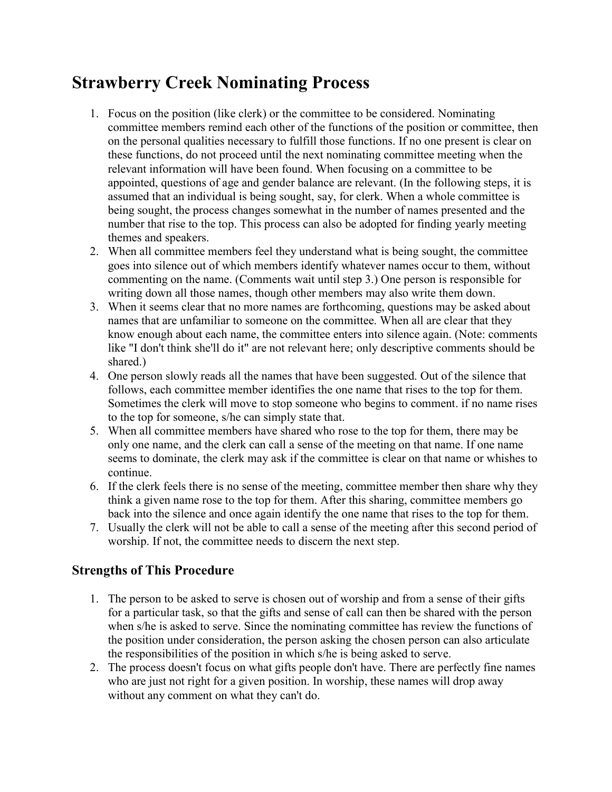## Strawberry Creek Nominating Process

- 1. Focus on the position (like clerk) or the committee to be considered. Nominating committee members remind each other of the functions of the position or committee, then on the personal qualities necessary to fulfill those functions. If no one present is clear on these functions, do not proceed until the next nominating committee meeting when the relevant information will have been found. When focusing on a committee to be appointed, questions of age and gender balance are relevant. (In the following steps, it is assumed that an individual is being sought, say, for clerk. When a whole committee is being sought, the process changes somewhat in the number of names presented and the number that rise to the top. This process can also be adopted for finding yearly meeting themes and speakers.
- 2. When all committee members feel they understand what is being sought, the committee goes into silence out of which members identify whatever names occur to them, without commenting on the name. (Comments wait until step 3.) One person is responsible for writing down all those names, though other members may also write them down.
- 3. When it seems clear that no more names are forthcoming, questions may be asked about names that are unfamiliar to someone on the committee. When all are clear that they know enough about each name, the committee enters into silence again. (Note: comments like "I don't think she'll do it" are not relevant here; only descriptive comments should be shared.)
- 4. One person slowly reads all the names that have been suggested. Out of the silence that follows, each committee member identifies the one name that rises to the top for them. Sometimes the clerk will move to stop someone who begins to comment. if no name rises to the top for someone, s/he can simply state that.
- 5. When all committee members have shared who rose to the top for them, there may be only one name, and the clerk can call a sense of the meeting on that name. If one name seems to dominate, the clerk may ask if the committee is clear on that name or whishes to continue.
- 6. If the clerk feels there is no sense of the meeting, committee member then share why they think a given name rose to the top for them. After this sharing, committee members go back into the silence and once again identify the one name that rises to the top for them.
- 7. Usually the clerk will not be able to call a sense of the meeting after this second period of worship. If not, the committee needs to discern the next step.

## Strengths of This Procedure

- 1. The person to be asked to serve is chosen out of worship and from a sense of their gifts for a particular task, so that the gifts and sense of call can then be shared with the person when s/he is asked to serve. Since the nominating committee has review the functions of the position under consideration, the person asking the chosen person can also articulate the responsibilities of the position in which s/he is being asked to serve.
- 2. The process doesn't focus on what gifts people don't have. There are perfectly fine names who are just not right for a given position. In worship, these names will drop away without any comment on what they can't do.